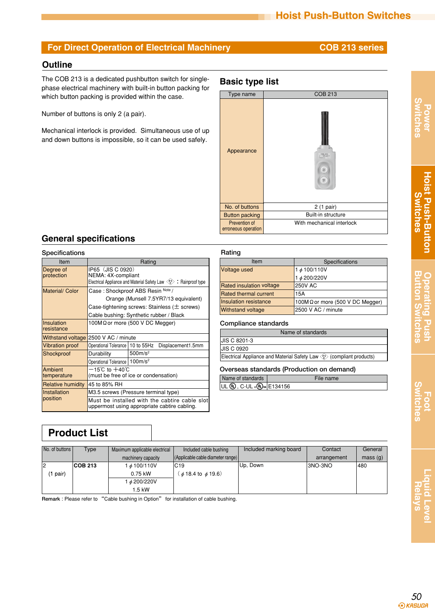### **For Direct Operation of Electrical Machinery <b>COB 213 series**

### **Outline**

The COB 213 is a dedicated pushbutton switch for singlephase electrical machinery with built-in button packing for which button packing is provided within the case.

Number of buttons is only 2 (a pair).

Mechanical interlock is provided. Simultaneous use of up and down buttons is impossible, so it can be used safely.

## **Basic type list**



## **General specifications**

| <b>Specifications</b>            |                                                                                                                                                                                                                                                                           |                                                                                               | Rating                                                             |
|----------------------------------|---------------------------------------------------------------------------------------------------------------------------------------------------------------------------------------------------------------------------------------------------------------------------|-----------------------------------------------------------------------------------------------|--------------------------------------------------------------------|
| Item                             |                                                                                                                                                                                                                                                                           |                                                                                               |                                                                    |
| Degree of<br>protection          | IP65 (JIS C 0920)<br>NEMA: 4X-compliant                                                                                                                                                                                                                                   | Voltage                                                                                       |                                                                    |
| <b>Material/Color</b>            | Electrical Appliance and Material Safety Law $\langle \xi^{\circ} \rangle$ : Rainproof type<br>Case: Shockproof ABS Resin Note /<br>Orange (Munsell 7.5YR7/13 equivalent)<br>Case-tightening screws: Stainless ( $\pm$ screws)<br>Cable bushing: Synthetic rubber / Black |                                                                                               | <b>Rated</b> ir<br><b>Rated th</b><br>Insulatio<br><b>Withstar</b> |
| <b>Insulation</b><br>Iresistance | 100M $\Omega$ or more (500 V DC Megger)                                                                                                                                                                                                                                   |                                                                                               | Compl                                                              |
| <b>Withstand voltage</b>         | 2500 V AC / minute                                                                                                                                                                                                                                                        |                                                                                               | <b>JIS C 82</b>                                                    |
| <b>Vibration proof</b>           | Operational Tolerance                                                                                                                                                                                                                                                     | 10 to 55Hz<br>Displacement1.5mm                                                               | JIS C 09                                                           |
| Shockproof                       | Durability<br>Operational Tolerance   100m/s <sup>2</sup>                                                                                                                                                                                                                 | $500m/s^2$                                                                                    | Electrica                                                          |
| Ambient<br>temperature           | $-15^{\circ}$ C to $+40^{\circ}$ C<br>(must be free of ice or condensation)                                                                                                                                                                                               |                                                                                               | Overse<br>Name of                                                  |
| <b>Relative humidity</b>         | 45 to 85% RH                                                                                                                                                                                                                                                              |                                                                                               | UL ®,                                                              |
| Installation                     | M3.5 screws (Pressure terminal type)                                                                                                                                                                                                                                      |                                                                                               |                                                                    |
| position                         |                                                                                                                                                                                                                                                                           | Must be installed with the cabtire cable slot<br>uppermost using appropriate cabtire cabling. |                                                                    |

### **Specifications** 1φ100/110V 1φ200/220V 250V AC 15A 100MΩor more (500 V DC Megger) 2500 V AC / minute Item Voltage used Rated insulation voltage Rated thermal current Insulation resistance Withstand voltage

**Compliance standards**

| Name of standards                                                     |  |  |  |  |
|-----------------------------------------------------------------------|--|--|--|--|
| <b>JIS C 8201-3</b>                                                   |  |  |  |  |
| <b>JIS C 0920</b>                                                     |  |  |  |  |
| Electrical Appliance and Material Safety Law (2> (compliant products) |  |  |  |  |
| Overseas standards (Production on demand)                             |  |  |  |  |

### Name of standards File name

UL (Կ) , C-UL շ(Կ)տ|E134156

# **Product List**

| No. of buttons | Type           | Maximum applicable electrical | Included cable bushing              | Included marking board | Contact     | General |
|----------------|----------------|-------------------------------|-------------------------------------|------------------------|-------------|---------|
|                |                | machinery capacity            | (Applicable cable diameter range)   |                        | arrangement | mass(g) |
| l2             | <b>COB 213</b> | $1\phi$ 100/110V              | IC19                                | Up, Down               | I3NO-3NO    | 480     |
| pair)          |                | $0.75$ kW                     | $(\phi 18.4 \text{ to } \phi 19.6)$ |                        |             |         |
|                |                | <i>↓ 4</i> 200/220V           |                                     |                        |             |         |
|                |                | 1.5 kW                        |                                     |                        |             |         |

**Remark** : Please refer to "Cable bushing in Option" for installation of cable bushing.

# **Power Switches**